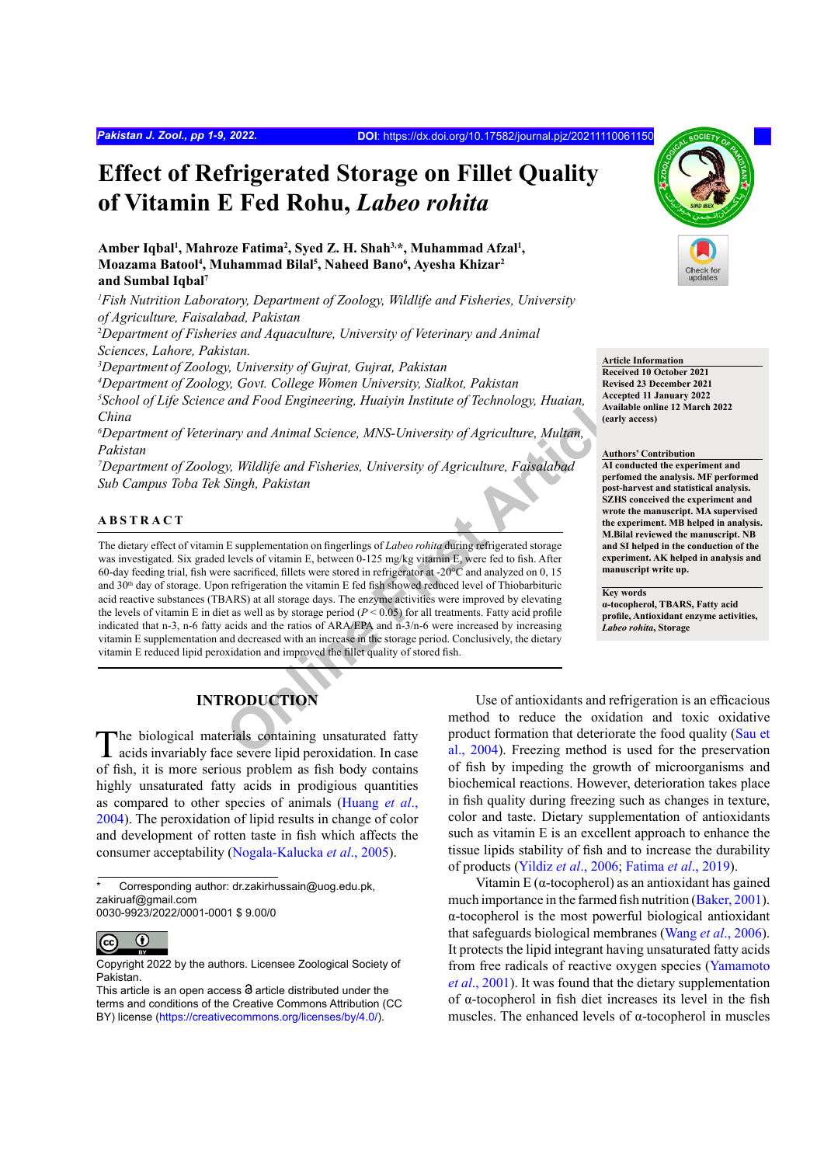# **Effect of Refrigerated Storage on Fillet Quality of Vitamin E Fed Rohu,** *Labeo rohita*

# Amber Iqbal<sup>ı</sup>, Mahroze Fatima<sup>2</sup>, Syed Z. H. Shah<sup>3,</sup>\*, Muhammad Afzal<sup>ı</sup>, **Moazama Batool4 , Muhammad Bilal5 , Naheed Bano6 , Ayesha Khizar2 and Sumbal Iqbal7**

*1 Fish Nutrition Laboratory, Department of Zoology, Wildlife and Fisheries, University of Agriculture, Faisalabad, Pakistan*

<sup>2</sup>Department of Fisheries and Aquaculture, University of Veterinary and Animal

*Sciences, Lahore, Pakistan.*

*3 Department of Zoology, University of Gujrat, Gujrat, Pakistan*

*4 Department of Zoology, Govt. College Women University, Sialkot, Pakistan* 

*5 School of Life Science and Food Engineering, Huaiyin Institute of Technology, Huaian, China*

*6 Department of Veterinary and Animal Science, MNS-University of Agriculture, Multan, Pakistan*

*7 Department of Zoology, Wildlife and Fisheries, University of Agriculture, Faisalabad Sub Campus Toba Tek Singh, Pakistan*

# **ABSTRACT**

and Food Engineering, Huaiyin Institute of Technology, Huaian,<br>
ary and Animal Science, MNS-University of Agriculture, Multan,<br>
(saintaket (saintaket)<br>
(saintaket artist)<br>
(saintaket artist)<br>
(Singh, Pakistan<br>
Singh, Pakis The dietary effect of vitamin E supplementation on fingerlings of *Labeo rohita* during refrigerated storage was investigated. Six graded levels of vitamin E, between 0-125 mg/kg vitamin E, were fed to fish. After 60-day feeding trial, fish were sacrificed, fillets were stored in refrigerator at -20°C and analyzed on 0, 15 and 30<sup>th</sup> day of storage. Upon refrigeration the vitamin E fed fish showed reduced level of Thiobarbituric acid reactive substances (TBARS) at all storage days. The enzyme activities were improved by elevating the levels of vitamin E in diet as well as by storage period (*P* < 0.05) for all treatments. Fatty acid profile indicated that n-3, n-6 fatty acids and the ratios of ARA/EPA and n-3/n-6 were increased by increasing vitamin E supplementation and decreased with an increase in the storage period. Conclusively, the dietary vitamin E reduced lipid peroxidation and improved the fillet quality of stored fish.

# **INTRODUCTION**

The biological materials containing unsaturated fatty acids invariably face severe lipid peroxidation. In case of fish, it is more serious problem as fish body contains highly unsaturated fatty acids in prodigious quantities as compared to other species of animals [\(Huang](#page-7-0) *et al*., [2004\)](#page-7-0). The peroxidation of lipid results in change of color and development of rotten taste in fish which affects the consumer acceptability [\(Nogala-Kalucka](#page-7-1) *et al*., 2005).



**Article Information Received 10 October 2021 Revised 23 December 2021 Accepted 11 January 2022 Available online 12 March 2022 (early access)**

#### **Authors' Contribution**

**AI conducted the experiment and perfomed the analysis. MF performed post-harvest and statistical analysis. SZHS conceived the experiment and wrote the manuscript. MA supervised the experiment. MB helped in analysis. M.Bilal reviewed the manuscript. NB and SI helped in the conduction of the experiment. AK helped in analysis and manuscript write up.**

**Key words α-tocopherol, TBARS, Fatty acid profile, Antioxidant enzyme activities,**  *Labeo rohita***, Storage**

Use of antioxidants and refrigeration is an efficacious method to reduce the oxidation and toxic oxidative product formation that deteriorate the food quality ([Sau et](#page-8-0) al., 2004). Freezing method is used for the preservation of fish by impeding the growth of microorganisms and biochemical reactions. However, deterioration takes place in fish quality during freezing such as changes in texture, color and taste. Dietary supplementation of antioxidants such as vitamin E is an excellent approach to enhance the tissue lipids stability of fish and to increase the durability of products (Yildiz *et al*[., 2006](#page-8-1); [Fatima](#page-6-0) *et al*., 2019).

Vitamin E ( $\alpha$ -tocopherol) as an antioxidant has gained much importance in the farmed fish nutrition [\(Baker, 2001\)](#page-6-1). α-tocopherol is the most powerful biological antioxidant that safeguards biological membranes (Wang *et al*[., 2006\)](#page-8-2). It protects the lipid integrant having unsaturated fatty acids from free radicals of reactive oxygen species ([Yamamoto](#page-8-3) *et al*[., 2001\)](#page-8-3). It was found that the dietary supplementation of α-tocopherol in fish diet increases its level in the fish muscles. The enhanced levels of α-tocopherol in muscles

Corresponding author: dr.zakirhussain@uog.edu.pk, zakiruaf@gmail.com 0030-9923/2022/0001-0001 \$ 9.00/0

 $\bf \odot$  $\overline{(\text{cc})}$ 

Copyright 2022 by the authors. Licensee Zoological Society of Pakistan.

This article is an open access  $\Theta$  article distributed under the terms and conditions of the Creative Commons Attribution (CC BY) license [\(https://creativecommons.org/licenses/by/4.0/\)](https://creativecommons.org/licenses/by/4.0/).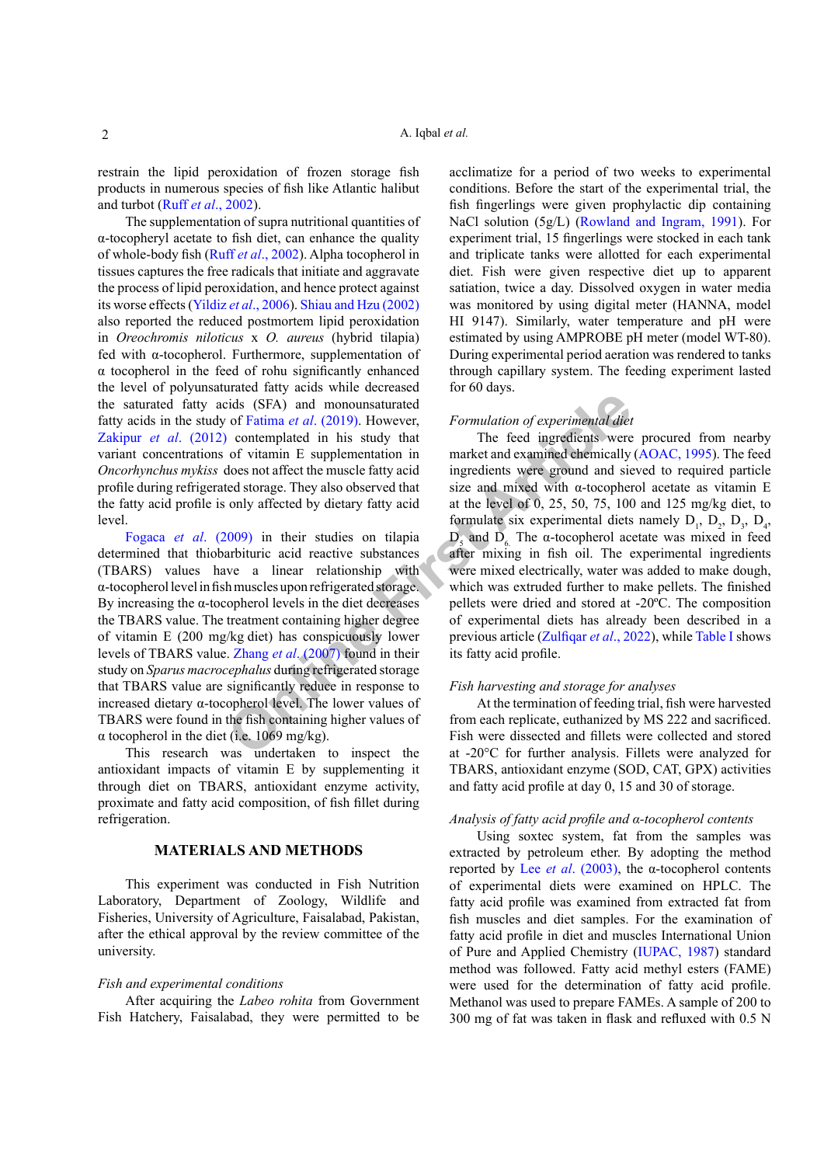restrain the lipid peroxidation of frozen storage fish products in numerous species of fish like Atlantic halibut and turbot (Ruff *et al*[., 2002](#page-8-4)).

The supplementation of supra nutritional quantities of α-tocopheryl acetate to fish diet, can enhance the quality of whole-body fish (Ruff *et al*[., 2002](#page-8-4)). Alpha tocopherol in tissues captures the free radicals that initiate and aggravate the process of lipid peroxidation, and hence protect against its worse effects [\(Yildiz](#page-8-1) *et al*., 2006). [Shiau and Hzu \(2002\)](#page-8-5) also reported the reduced postmortem lipid peroxidation in *Oreochromis niloticus* x *O. aureus* (hybrid tilapia) fed with α-tocopherol. Furthermore, supplementation of α tocopherol in the feed of rohu significantly enhanced the level of polyunsaturated fatty acids while decreased the saturated fatty acids (SFA) and monounsaturated fatty acids in the study of Fatima *et al*. (2019). However, Zakipur *et al*[. \(2012\)](#page-8-6) contemplated in his study that variant concentrations of vitamin E supplementation in *Oncorhynchus mykiss* does not affect the muscle fatty acid profile during refrigerated storage. They also observed that the fatty acid profile is only affected by dietary fatty acid level.

Fogaca *et al*[. \(2009\)](#page-6-2) in their studies on tilapia determined that thiobarbituric acid reactive substances (TBARS) values have a linear relationship with α-tocopherol level in fish muscles upon refrigerated storage. By increasing the α-tocopherol levels in the diet decreases the TBARS value. The treatment containing higher degree of vitamin E (200 mg/kg diet) has conspicuously lower levels of TBARS value. Zhang *et al*. (2007) found in their study on *Sparus macrocephalus* during refrigerated storage that TBARS value are significantly reduce in response to increased dietary α-tocopherol level. The lower values of TBARS were found in the fish containing higher values of α tocopherol in the diet (i.e. 1069 mg/kg).

This research was undertaken to inspect the antioxidant impacts of vitamin E by supplementing it through diet on TBARS, antioxidant enzyme activity, proximate and fatty acid composition, of fish fillet during refrigeration.

### **MATERIALS AND METHODS**

This experiment was conducted in Fish Nutrition Laboratory, Department of Zoology, Wildlife and Fisheries, University of Agriculture, Faisalabad, Pakistan, after the ethical approval by the review committee of the university.

#### *Fish and experimental conditions*

After acquiring the *Labeo rohita* from Government Fish Hatchery, Faisalabad, they were permitted to be acclimatize for a period of two weeks to experimental conditions. Before the start of the experimental trial, the fish fingerlings were given prophylactic dip containing NaCl solution (5g/L) [\(Rowland and Ingram, 1991](#page-8-8)). For experiment trial, 15 fingerlings were stocked in each tank and triplicate tanks were allotted for each experimental diet. Fish were given respective diet up to apparent satiation, twice a day. Dissolved oxygen in water media was monitored by using digital meter (HANNA, model HI 9147). Similarly, water temperature and pH were estimated by using AMPROBE pH meter (model WT-80). During experimental period aeration was rendered to tanks through capillary system. The feeding experiment lasted for 60 days.

### *Formulation of experimental diet*

ids (SFA) and monounsaturated<br>
order of Fatima *et al.* (2019). However,<br>
formulation of experimental diet<br>
order themsele f[in](#page-8-7)ity and<br>
of vitamin E supplementation in<br>
market and examined ehemically<br>
disc so to affect the The feed ingredients were procured from nearby market and examined chemically ([AOAC, 1995\)](#page-6-3). The feed ingredients were ground and sieved to required particle size and mixed with α-tocopherol acetate as vitamin E at the level of 0, 25, 50, 75, 100 and 125 mg/kg diet, to formulate six experimental diets namely  $D_1$ ,  $D_2$ ,  $D_3$ ,  $D_4$ ,  $D<sub>5</sub>$  and  $D<sub>6</sub>$ . The α-tocopherol acetate was mixed in feed after mixing in fish oil. The experimental ingredients were mixed electrically, water was added to make dough, which was extruded further to make pellets. The finished pellets were dried and stored at -20ºC. The composition of experimental diets has already been described in a previous article (Zulfiqar *et al*., 2022), while [Table I](#page-2-0) shows its fatty acid profile.

#### *Fish harvesting and storage for analyses*

At the termination of feeding trial, fish were harvested from each replicate, euthanized by MS 222 and sacrificed. Fish were dissected and fillets were collected and stored at -20°C for further analysis. Fillets were analyzed for TBARS, antioxidant enzyme (SOD, CAT, GPX) activities and fatty acid profile at day 0, 15 and 30 of storage.

### *Analysis of fatty acid profile and α-tocopherol contents*

Using soxtec system, fat from the samples was extracted by petroleum ether. By adopting the method reported by Lee *et al*[. \(2003\)](#page-7-2), the α-tocopherol contents of experimental diets were examined on HPLC. The fatty acid profile was examined from extracted fat from fish muscles and diet samples. For the examination of fatty acid profile in diet and muscles International Union of Pure and Applied Chemistry [\(IUPAC, 1987](#page-7-3)) standard method was followed. Fatty acid methyl esters (FAME) were used for the determination of fatty acid profile. Methanol was used to prepare FAMEs. A sample of 200 to 300 mg of fat was taken in flask and refluxed with 0.5 N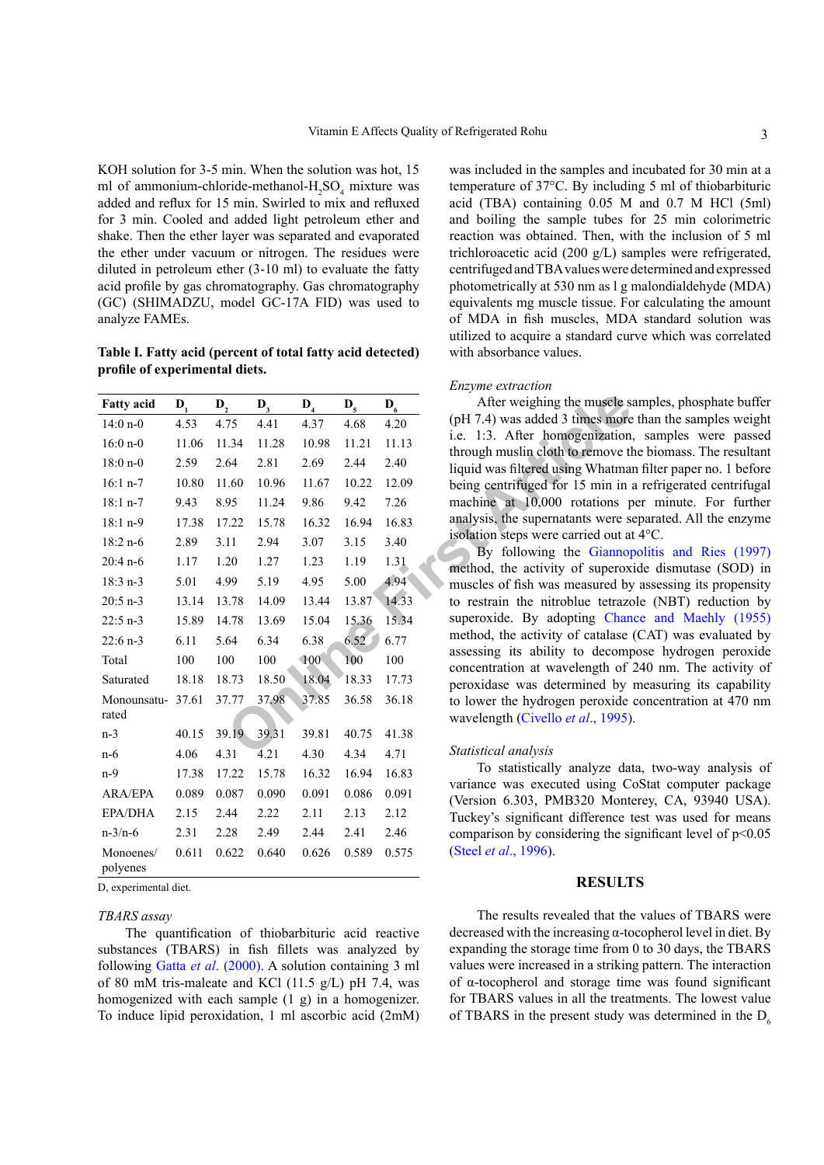KOH solution for 3-5 min. When the solution was hot, 15 ml of ammonium-chloride-methanol- $H_2SO_4$  mixture was added and reflux for 15 min. Swirled to mix and refluxed for 3 min. Cooled and added light petroleum ether and shake. Then the ether layer was separated and evaporated the ether under vacuum or nitrogen. The residues were diluted in petroleum ether (3-10 ml) to evaluate the fatty acid profile by gas chromatography. Gas chromatography (GC) (SHIMADZU, model GC-17A FID) was used to analyze FAMEs.

<span id="page-2-0"></span>**Table I. Fatty acid (percent of total fatty acid detected) profile of experimental diets.**

| <b>Fatty acid</b>     | $\mathbf{D}_{1}$ | $\mathbf{D}_2$ | $D_3$ | $D_4$ | $\mathbf{D}_5$ | $D_6$ | After weighing the muscle s                                            |
|-----------------------|------------------|----------------|-------|-------|----------------|-------|------------------------------------------------------------------------|
| $14:0 n-0$            | 4.53             | 4.75           | 4.41  | 4.37  | 4.68           | 4.20  | (pH 7.4) was added 3 times more                                        |
| $16:0 n-0$            | 11.06            | 11.34          | 11.28 | 10.98 | 11.21          | 11.13 | i.e. 1:3. After homogenization                                         |
| $18:0 n-0$            | 2.59             | 2.64           | 2.81  | 2.69  | 2.44           | 2.40  | through muslin cloth to remove th<br>liquid was filtered using Whatmar |
| $16:1 n-7$            | 10.80            | 11.60          | 10.96 | 11.67 | 10.22          | 12.09 | being centrifuged for 15 min in                                        |
| $18:1 n-7$            | 9.43             | 8.95           | 11.24 | 9.86  | 9.42           | 7.26  | machine at 10,000 rotations p                                          |
| $18:1 n-9$            | 17.38            | 17.22          | 15.78 | 16.32 | 16.94          | 16.83 | analysis, the supernatants were so                                     |
| $18:2 n-6$            | 2.89             | 3.11           | 2.94  | 3.07  | 3.15           | 3.40  | isolation steps were carried out at                                    |
| $20:4 n-6$            | 1.17             | 1.20           | 1.27  | 1.23  | 1.19           | 1.31  | By following the Giannop<br>method, the activity of superox            |
| $18:3 n-3$            | 5.01             | 4.99           | 5.19  | 4.95  | 5.00           | 4.94  | muscles of fish was measured by                                        |
| $20:5$ n-3            | 13.14            | 13.78          | 14.09 | 13.44 | 13.87          | 14.33 | to restrain the nitroblue tetrazo                                      |
| $22:5 n-3$            | 15.89            | 14.78          | 13.69 | 15.04 | 15.36          | 15.34 | superoxide. By adopting Chan                                           |
| $22:6$ n-3            | 6.11             | 5.64           | 6.34  | 6.38  | 6.52           | 6.77  | method, the activity of catalase                                       |
| Total                 | 100              | 100            | 100   | 100<  | 100            | 100   | assessing its ability to decomp                                        |
| Saturated             | 18.18            | 18.73          | 18.50 | 18.04 | 18.33          | 17.73 | concentration at wavelength of<br>peroxidase was determined by         |
| Monounsatu-37.61      |                  | 37.77          | 37.98 | 37.85 | 36.58          | 36.18 | to lower the hydrogen peroxide                                         |
| rated                 |                  |                |       |       |                |       | wavelength (Civello et al., 1995)                                      |
| $n-3$                 | 40.15            | 39.19          | 39.31 | 39.81 | 40.75          | 41.38 |                                                                        |
| $n-6$                 | 4.06             | 4.31           | 4.21  | 4.30  | 4.34           | 4.71  | Statistical analysis                                                   |
| $n-9$                 | 17.38            | 17.22          | 15.78 | 16.32 | 16.94          | 16.83 | To statistically analyze dat                                           |
| <b>ARA/EPA</b>        | 0.089            | 0.087          | 0.090 | 0.091 | 0.086          | 0.091 | variance was executed using C<br>(Version 6.303, PMB320 Monte          |
| EPA/DHA               | 2.15             | 2.44           | 2.22  | 2.11  | 2.13           | 2.12  | Tuckey's significant difference t                                      |
| $n-3/n-6$             | 2.31             | 2.28           | 2.49  | 2.44  | 2.41           | 2.46  | comparison by considering the si                                       |
| Monoenes/<br>polyenes | 0.611            | 0.622          | 0.640 | 0.626 | 0.589          | 0.575 | (Steel <i>et al.</i> , 1996).                                          |

D, experimental diet.

#### *TBARS assay*

The quantification of thiobarbituric acid reactive substances (TBARS) in fish fillets was analyzed by following Gatta *et al*[. \(2000\)](#page-7-4). A solution containing 3 ml of 80 mM tris-maleate and KCl (11.5 g/L) pH 7.4, was homogenized with each sample (1 g) in a homogenizer. To induce lipid peroxidation, 1 ml ascorbic acid (2mM)

was included in the samples and incubated for 30 min at a temperature of 37°C. By including 5 ml of thiobarbituric acid (TBA) containing 0.05 M and 0.7 M HCl (5ml) and boiling the sample tubes for 25 min colorimetric reaction was obtained. Then, with the inclusion of 5 ml trichloroacetic acid (200 g/L) samples were refrigerated, centrifuged and TBA values were determined and expressed photometrically at 530 nm as l g malondialdehyde (MDA) equivalents mg muscle tissue. For calculating the amount of MDA in fish muscles, MDA standard solution was utilized to acquire a standard curve which was correlated with absorbance values.

#### *Enzyme extraction*

After weighing the muscle samples, phosphate buffer (pH 7.4) was added 3 times more than the samples weight i.e. 1:3. After homogenization, samples were passed through muslin cloth to remove the biomass. The resultant liquid was filtered using Whatman filter paper no. 1 before being centrifuged for 15 min in a refrigerated centrifugal machine at 10,000 rotations per minute. For further analysis, the supernatants were separated. All the enzyme isolation steps were carried out at 4°C.

By following the [Giannopolitis and Ries \(1997\)](#page-7-5) method, the activity of superoxide dismutase (SOD) in muscles of fish was measured by assessing its propensity to restrain the nitroblue tetrazole (NBT) reduction by superoxide. By adopting [Chance and Maehly \(1955\)](#page-6-4) method, the activity of catalase (CAT) was evaluated by assessing its ability to decompose hydrogen peroxide concentration at wavelength of 240 nm. The activity of peroxidase was determined by measuring its capability to lower the hydrogen peroxide concentration at 470 nm wavelength (Civello *et al*., 1995).

### *Statistical analysis*

To statistically analyze data, two-way analysis of variance was executed using CoStat computer package (Version 6.303, PMB320 Monterey, CA, 93940 USA). Tuckey's significant difference test was used for means comparison by considering the significant level of  $p<0.05$ (Steel *et al*[., 1996\)](#page-8-9).

#### **RESULTS**

The results revealed that the values of TBARS were decreased with the increasing  $\alpha$ -tocopherol level in diet. By expanding the storage time from 0 to 30 days, the TBARS values were increased in a striking pattern. The interaction of α-tocopherol and storage time was found significant for TBARS values in all the treatments. The lowest value of TBARS in the present study was determined in the  $D<sub>6</sub>$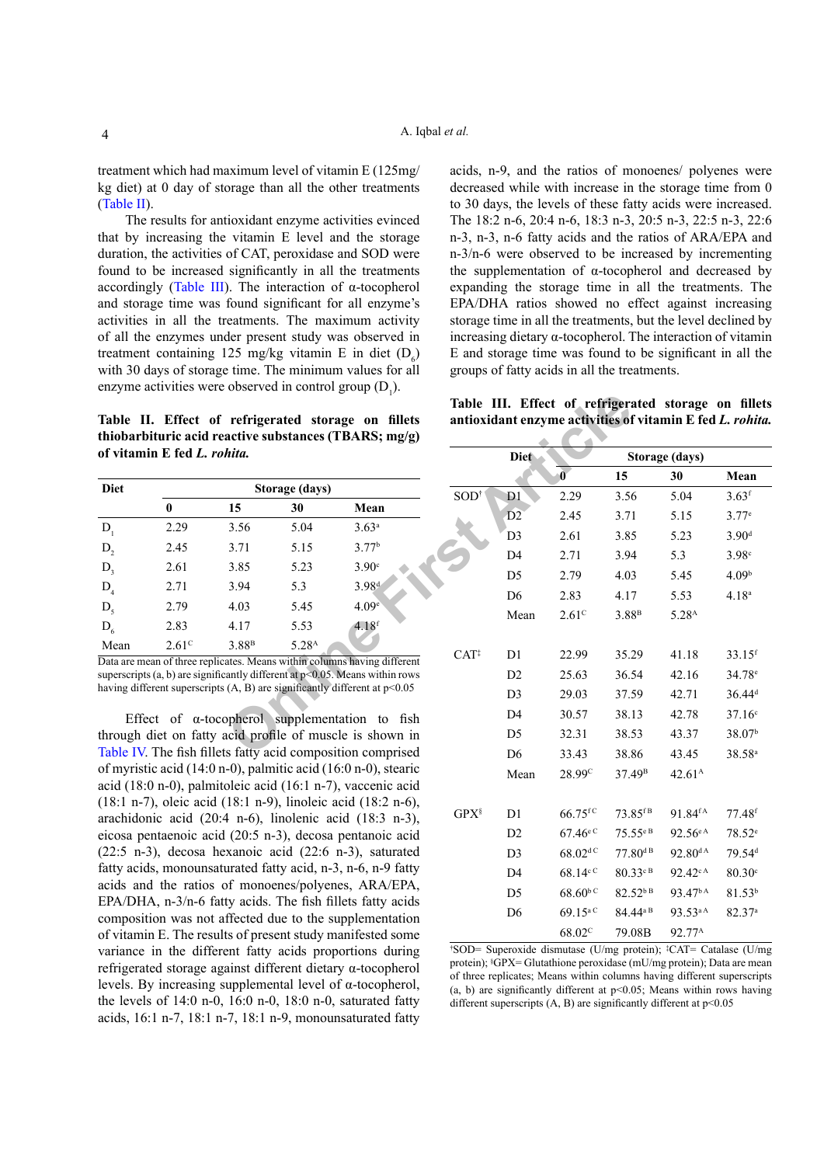treatment which had maximum level of vitamin E (125mg/ kg diet) at 0 day of storage than all the other treatments [\(Table II](#page-3-0)).

The results for antioxidant enzyme activities evinced that by increasing the vitamin E level and the storage duration, the activities of CAT, peroxidase and SOD were found to be increased significantly in all the treatments accordingly ([Table III](#page-3-1)). The interaction of α-tocopherol and storage time was found significant for all enzyme's activities in all the treatments. The maximum activity of all the enzymes under present study was observed in treatment containing 125 mg/kg vitamin E in diet  $(D_6)$ with 30 days of storage time. The minimum values for all enzyme activities were observed in control group  $(D_1)$ .

<span id="page-3-0"></span>**Table II. Effect of refrigerated storage on fillets thiobarbituric acid reactive substances (TBARS; mg/g) of vitamin E fed** *L. rohita.*

| <b>Diet</b>     | Storage (days)    |                   |                   |                   |  |  |  |  |  |  |  |  |  |  |
|-----------------|-------------------|-------------------|-------------------|-------------------|--|--|--|--|--|--|--|--|--|--|
|                 | 0                 | 15                | 30                | Mean              |  |  |  |  |  |  |  |  |  |  |
| $D_1$           | 2.29              | 3.56              | 5.04              | 3.63 <sup>a</sup> |  |  |  |  |  |  |  |  |  |  |
| $D_2$           | 2.45              | 3.71              | 5.15              | 3.77 <sup>b</sup> |  |  |  |  |  |  |  |  |  |  |
| $D_{3}$         | 2.61              | 3.85              | 5.23              | 3.90°             |  |  |  |  |  |  |  |  |  |  |
| $D_4$           | 2.71              | 3.94              | 5.3               | $3.98^{d}$        |  |  |  |  |  |  |  |  |  |  |
| $D_{\varsigma}$ | 2.79              | 4.03              | 5.45              | 4.09 <sup>e</sup> |  |  |  |  |  |  |  |  |  |  |
| $D_6$           | 2.83              | 4.17              | 5.53              | 4.18 <sup>f</sup> |  |  |  |  |  |  |  |  |  |  |
| Mean            | 2.61 <sup>c</sup> | 3.88 <sup>B</sup> | 5.28 <sup>A</sup> |                   |  |  |  |  |  |  |  |  |  |  |

Data are mean of three replicates. Means within columns having different superscripts  $(a, b)$  are significantly different at  $p \le 0.05$ . Means within rows having different superscripts  $(A, B)$  are significantly different at  $p<0.05$ 

Effect of  $\alpha$ -tocopherol supplementation to fish through diet on fatty acid profile of muscle is shown in [Table IV.](#page-4-0) The fish fillets fatty acid composition comprised of myristic acid (14:0 n-0), palmitic acid (16:0 n-0), stearic acid (18:0 n-0), palmitoleic acid (16:1 n-7), vaccenic acid (18:1 n-7), oleic acid (18:1 n-9), linoleic acid (18:2 n-6), arachidonic acid (20:4 n-6), linolenic acid (18:3 n-3), eicosa pentaenoic acid (20:5 n-3), decosa pentanoic acid (22:5 n-3), decosa hexanoic acid (22:6 n-3), saturated fatty acids, monounsaturated fatty acid, n-3, n-6, n-9 fatty acids and the ratios of monoenes/polyenes, ARA/EPA, EPA/DHA, n-3/n-6 fatty acids. The fish fillets fatty acids composition was not affected due to the supplementation of vitamin E. The results of present study manifested some variance in the different fatty acids proportions during refrigerated storage against different dietary α-tocopherol levels. By increasing supplemental level of α-tocopherol, the levels of 14:0 n-0, 16:0 n-0, 18:0 n-0, saturated fatty acids, 16:1 n-7, 18:1 n-7, 18:1 n-9, monounsaturated fatty

acids, n-9, and the ratios of monoenes/ polyenes were decreased while with increase in the storage time from 0 to 30 days, the levels of these fatty acids were increased. The 18:2 n-6, 20:4 n-6, 18:3 n-3, 20:5 n-3, 22:5 n-3, 22:6 n-3, n-3, n-6 fatty acids and the ratios of ARA/EPA and n-3/n-6 were observed to be increased by incrementing the supplementation of  $α$ -tocopherol and decreased by expanding the storage time in all the treatments. The EPA/DHA ratios showed no effect against increasing storage time in all the treatments, but the level declined by increasing dietary α-tocopherol. The interaction of vitamin E and storage time was found to be significant in all the groups of fatty acids in all the treatments.

<span id="page-3-1"></span>**Table III. Effect of refrigerated storage on fillets antioxidant enzyme activities of vitamin E fed** *L. rohita.*

|                   |                   | refrigerated storage on fillets<br>active substances (TBARS; mg/g)         |                  |                | Table III. Effect of refrigerated storage on fillets<br>antioxidant enzyme activities of vitamin E fed L. rohita. |                              |                          |                      |  |  |  |  |  |
|-------------------|-------------------|----------------------------------------------------------------------------|------------------|----------------|-------------------------------------------------------------------------------------------------------------------|------------------------------|--------------------------|----------------------|--|--|--|--|--|
| hita.             |                   |                                                                            |                  | <b>Diet</b>    |                                                                                                                   | Storage (days)               |                          |                      |  |  |  |  |  |
|                   |                   |                                                                            |                  |                | $\overline{0}$                                                                                                    | 15                           | 30                       | Mean                 |  |  |  |  |  |
|                   | Storage (days)    |                                                                            | $SOD^{\dagger}$  | D1             | 2.29                                                                                                              | 3.56                         | 5.04                     | $3.63$ <sup>f</sup>  |  |  |  |  |  |
| 15                | 30                | Mean                                                                       |                  | D2             | 2.45                                                                                                              | 3.71                         | 5.15                     | 3.77 <sup>e</sup>    |  |  |  |  |  |
| 3.56              | 5.04              | $3.63^{a}$                                                                 |                  | D <sub>3</sub> | 2.61                                                                                                              | 3.85                         | 5.23                     | 3.90 <sup>d</sup>    |  |  |  |  |  |
| 3.71              | 5.15              | 3.77 <sup>b</sup>                                                          |                  | D <sub>4</sub> | 2.71                                                                                                              | 3.94                         | 5.3                      | 3.98 <sup>c</sup>    |  |  |  |  |  |
| 3.85              | 5.23              | 3.90 <sup>c</sup>                                                          |                  | D <sub>5</sub> | 2.79                                                                                                              | 4.03                         | 5.45                     | 4.09 <sup>b</sup>    |  |  |  |  |  |
| 3.94              | 5.3               | $3.98^{d}$                                                                 |                  | D <sub>6</sub> | 2.83                                                                                                              | 4.17                         | 5.53                     | $4.18^{a}$           |  |  |  |  |  |
| 4.03              | 5.45              | 4.09 <sup>e</sup>                                                          |                  | Mean           | 2.61 <sup>c</sup>                                                                                                 | 3.88 <sup>B</sup>            | 5.28 <sup>A</sup>        |                      |  |  |  |  |  |
| 4.17              | 5.53              | 4.18 <sup>f</sup>                                                          |                  |                |                                                                                                                   |                              |                          |                      |  |  |  |  |  |
| 3.88 <sup>B</sup> | 5.28 <sup>A</sup> | ates. Means within columns having different                                | $CAT^{\ddagger}$ | D1             | 22.99                                                                                                             | 35.29                        | 41.18                    | $33.15$ <sup>f</sup> |  |  |  |  |  |
|                   |                   | antly different at p<0.05. Means within rows                               |                  | D2             | 25.63                                                                                                             | 36.54                        | 42.16                    | 34.78 <sup>e</sup>   |  |  |  |  |  |
|                   |                   | $(A, B)$ are significantly different at $p<0.05$                           |                  | D <sub>3</sub> | 29.03                                                                                                             | 37.59                        | 42.71                    | $36.44$ <sup>d</sup> |  |  |  |  |  |
|                   |                   | opherol supplementation to fish                                            |                  | D <sub>4</sub> | 30.57                                                                                                             | 38.13                        | 42.78                    | $37.16^{\circ}$      |  |  |  |  |  |
|                   |                   | acid profile of muscle is shown in                                         |                  | D <sub>5</sub> | 32.31                                                                                                             | 38.53                        | 43.37                    | 38.07 <sup>b</sup>   |  |  |  |  |  |
|                   |                   | s fatty acid composition comprised                                         |                  | D <sub>6</sub> | 33.43                                                                                                             | 38.86                        | 43.45                    | $38.58^{a}$          |  |  |  |  |  |
|                   |                   | $-0$ ), palmitic acid (16:0 n $-0$ ), stearic                              |                  | Mean           | 28.99 <sup>c</sup>                                                                                                | 37.49 <sup>B</sup>           | 42.61 <sup>A</sup>       |                      |  |  |  |  |  |
|                   |                   | oleic acid (16:1 n-7), vaccenic acid                                       |                  |                |                                                                                                                   |                              |                          |                      |  |  |  |  |  |
|                   |                   | 18:1 n-9), linoleic acid (18:2 n-6),                                       | $GPX^s$          | D1             | $66.75$ <sup>e</sup>                                                                                              | 73.85 <sup>fB</sup>          | 91.84 <sup>fA</sup>      | $77.48$ <sup>f</sup> |  |  |  |  |  |
|                   |                   | 4 n-6), linolenic acid (18:3 n-3),<br>$(20:5 n-3)$ , decosa pentanoic acid |                  | D2             | $67.46^{\circ}$ C                                                                                                 | $75.55^{e B}$                | $92.56^{\text{eA}}$      | 78.52 <sup>e</sup>   |  |  |  |  |  |
|                   |                   | xanoic acid (22:6 n-3), saturated                                          |                  | D <sub>3</sub> | $68.02^{\rm d}$ C                                                                                                 | $77.80$ <sup>d B</sup>       | $92.80^{d}$ <sup>A</sup> | 79.54 <sup>d</sup>   |  |  |  |  |  |
|                   |                   | urated fatty acid, n-3, n-6, n-9 fatty                                     |                  | D <sub>4</sub> | 68.14cc                                                                                                           | $80.33^{\circ}$ <sup>В</sup> | 92.42cA                  | 80.30c               |  |  |  |  |  |
|                   |                   | of monoenes/polyenes, ARA/EPA,                                             |                  | D <sub>5</sub> | $68.60$ <sup>b C</sup>                                                                                            | 82.52 <sup>b B</sup>         | 93.47 <sup>b A</sup>     | 81.53 <sup>b</sup>   |  |  |  |  |  |
|                   |                   | ty acids. The fish fillets fatty acids                                     |                  | D <sub>6</sub> | $69.15^{aC}$                                                                                                      | 84.44 <sup>aB</sup>          | 93.53ªA                  | 82.37a               |  |  |  |  |  |
|                   |                   | ffected due to the supplementation                                         |                  |                |                                                                                                                   |                              |                          |                      |  |  |  |  |  |
|                   |                   | ts of present study manifested some                                        |                  |                | 68.02 <sup>c</sup>                                                                                                | 79.08B                       | 92.77 <sup>A</sup>       |                      |  |  |  |  |  |

† SOD= Superoxide dismutase (U/mg protein); ‡ CAT= Catalase (U/mg protein); <sup>§</sup>GPX= Glutathione peroxidase (mU/mg protein); Data are mean of three replicates; Means within columns having different superscripts (a, b) are significantly different at  $p<0.05$ ; Means within rows having different superscripts  $(A, B)$  are significantly different at  $p \le 0.05$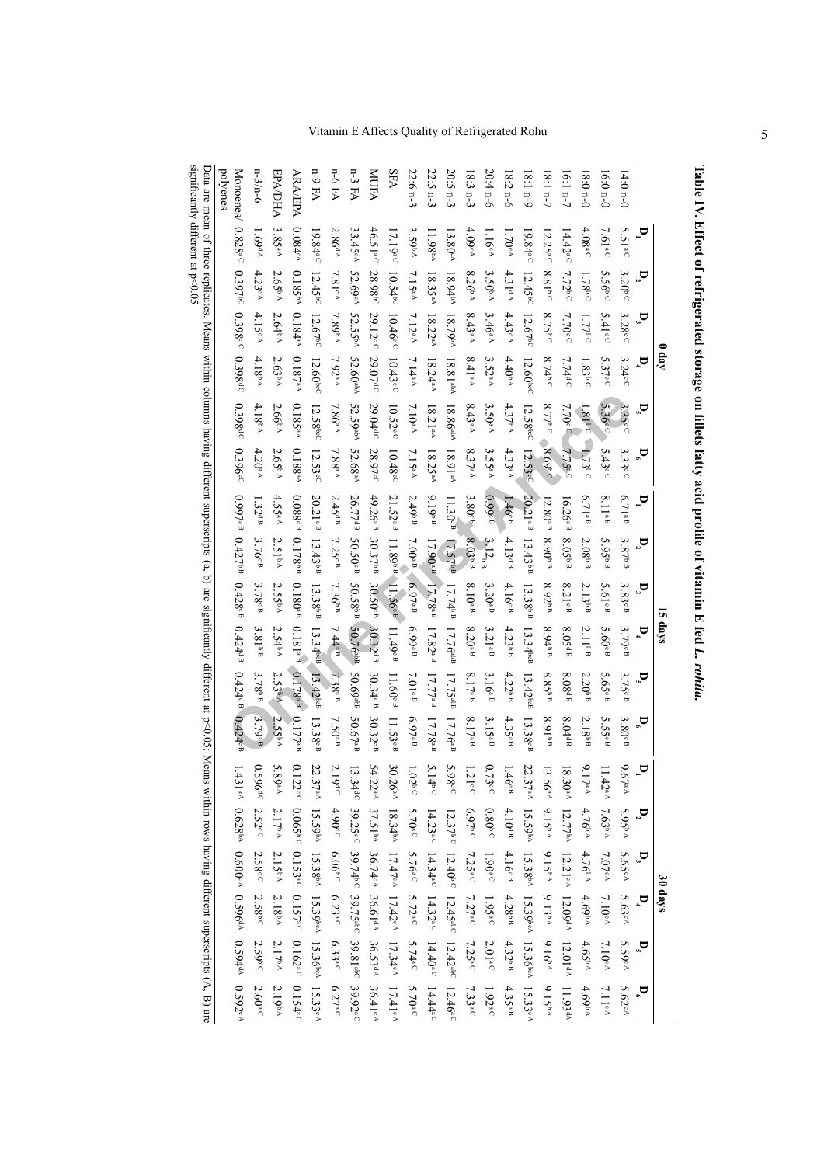|                                                                                                                                                                                                                               | polyenes<br>Monoenes/                                                                                               | $n-3/n-6$                                                             | <b>EPA/DHA</b>                         | ARA/EPA                                                                                      | n-9 FA                                             | <b>n-6 FA</b>                                                  | n-3 FA                                                                        | MUFA                                                                             | SFA                                                                                                                         | 22:6 n-3                              | 22:5 n-3                                                                                           | 20:5 n-3                                                                                                     | $18:3 n-3$                      | 20:4 n-6              | $18.2 n-6$              | $6 - 1.81$                                     | $1.8:1 n-7$                         | $16:1 n-7$                                        | $0 - u 0.81$                            | $0 - u$ 0:91                                                           | $14:0 n-0$              |                         |            |
|-------------------------------------------------------------------------------------------------------------------------------------------------------------------------------------------------------------------------------|---------------------------------------------------------------------------------------------------------------------|-----------------------------------------------------------------------|----------------------------------------|----------------------------------------------------------------------------------------------|----------------------------------------------------|----------------------------------------------------------------|-------------------------------------------------------------------------------|----------------------------------------------------------------------------------|-----------------------------------------------------------------------------------------------------------------------------|---------------------------------------|----------------------------------------------------------------------------------------------------|--------------------------------------------------------------------------------------------------------------|---------------------------------|-----------------------|-------------------------|------------------------------------------------|-------------------------------------|---------------------------------------------------|-----------------------------------------|------------------------------------------------------------------------|-------------------------|-------------------------|------------|
|                                                                                                                                                                                                                               | $0.828$ <sup>a</sup> C                                                                                              | 1.69 <sup>4A</sup>                                                    | $3.85^{aA}$                            | $0.084$ c $\lambda$                                                                          | $19.84$ <sup>ac</sup>                              | N<br>.86 <sup>d</sup>                                          | 33.45 <sup>4</sup>                                                            | 46.51 <sup>a</sup> c                                                             | 17.19 <sup>ac</sup>                                                                                                         | $3.59$ <sup>b.A</sup>                 | 11.98 <sup>bA</sup>                                                                                | 13.80 <sup>°</sup>                                                                                           | 4.09 <sup>c</sup>               | 1.16 <sup>c</sup>     | 1.70 <sup>e</sup>       | $19.84$ <sup>ac</sup>                          | $12.25\text{m}$                     | $14.42$ <sup>a</sup> C                            | $4.08$ <sup>a</sup> C                   | $7.61$ aC                                                              | 5.51 <sup>ac</sup>      | Þ.                      |            |
|                                                                                                                                                                                                                               | $0.397$ <sup>bc</sup>                                                                                               | $4.23^\circ\wedge$                                                    | $2.65^{\rm b \, A}$                    | $0.185^{bA}$                                                                                 | 12.45 <sup>pc</sup>                                | $7.81$ <sup>cA</sup>                                           | 52.69 <sup>oA</sup>                                                           | 28.98 <sup>bC</sup>                                                              | 10.54 <sup>pc</sup>                                                                                                         | $7.15^{a\text{A}}$                    | $18.35^{aA}$                                                                                       | 18.94 <sup>bd</sup>                                                                                          | $8.26^{b \text{ A}}$            | $3.50^{b \text{ A}}$  | 4.31 <sup>d</sup>       | 12.45 <sup>6</sup>                             | $8.81^{bc}$                         | $7.72^{bc}$                                       | $1.78^{\circ}$ c                        | 5.56 <sup>c</sup>                                                      | $3.20^{bc}$             | $\mathbf{D}_i$          |            |
|                                                                                                                                                                                                                               | 0.398 <sup>c</sup>                                                                                                  | 4.15 <sup>c</sup>                                                     | $2.64^{bA}$                            | $0.184^{aA}$                                                                                 | $12.67$ <sup>bc</sup>                              | $7.89^{b \text{A}}$                                            | 52.55 <sup>6A</sup>                                                           | 29.12 <sup>c</sup>                                                               | $10.46$ °C                                                                                                                  | $7.12^{aA}$                           | 18.22 <sup>at</sup>                                                                                | 18.79 <sup>bA</sup>                                                                                          | $8.43$ <sup>a</sup> A           | 3.46 <sup>a</sup>     | $4.43^{\circ\text{A}}$  | 12.67 <sup>bc</sup>                            | $8.75^{bc}$                         | $7.70^{\circ}$ c                                  | 1.77                                    | $5.41^{\circ}$                                                         | $3.28^{\circ}$ c        | $\blacksquare$          | 0          |
|                                                                                                                                                                                                                               | 0.398 <sup>dc</sup>                                                                                                 | $4.18^{bA}$                                                           | $2.63^{bA}$                            | $0.187$ <sup>a A</sup>                                                                       | 12.60bc                                            | $7.92$ <sup>aA</sup>                                           | 52.60 <sup>abA</sup>                                                          | 29.07 <sup>dc</sup>                                                              | $10.43^{\circ}$ c                                                                                                           | $7.14^{aA}$                           | $18.24$ <sup>a A</sup>                                                                             | $18.81^{\text{lab}}$                                                                                         | 8.41 <sup>a</sup>               | $3.52^{aA}$           | 4.40 <sup>b</sup>       | 12.60bc                                        | $8.74^{\circ}$ c                    | $7.74$ <sup>d</sup>                               | $1.83$ <sup>bc</sup>                    | $5.37$ <sup>cC</sup>                                                   | $3.24$ <sup>cC</sup>    | $\mathbf{D}_4$          | <b>Gay</b> |
|                                                                                                                                                                                                                               | 0.398 <sup>dc</sup>                                                                                                 | $4.18^{b \text{A}}$                                                   | $2.66^{bA}$                            | $0.185$ <sup>a</sup> A                                                                       | 12.58bc                                            | $7.86^{aA}$                                                    | $52.59$ <sup>abA</sup>                                                        | 29.04 <sup>dc</sup>                                                              | $10.52^{\circ}$ c                                                                                                           | $7.10^{aA}$                           | 18.21 <sup>a</sup>                                                                                 | $18.86^{\text{abA}}$                                                                                         | 8.43 <sup>a</sup>               | 3.50 <sup>a</sup>     | $4.37^{bA}$             | $12.58$ bec                                    | $8.77^{bc}$                         | 7.70 <sup>d</sup>                                 | 1.81 <sup>b</sup>                       | $5.36^{\circ}$                                                         | $3.35$ <sup>cC</sup>    | D°                      |            |
|                                                                                                                                                                                                                               | 0.396 <sup>ec</sup>                                                                                                 | $4.20^{\mathrm{a}}$ A                                                 | $2.65^{b \text{A}}$                    | 0.188 <sup>and</sup>                                                                         | $12.53$ c                                          | $7.88^{\mathrm{a}}$ A                                          | 52.68 <sup>ad</sup>                                                           | 28.97 <sup>ec</sup>                                                              | $10.48^{\circ\circ}$                                                                                                        | $7.15^{aA}$                           | 18.25 <sup>3A</sup>                                                                                | 18.91 <sup>ar</sup>                                                                                          | $8.37^{\mathrm{a}}$ A           | 3.55 <sup>a</sup>     | $4.33^{aA}$             | $12.53$ c                                      | $8.69$ <sup>b</sup>                 | $7.75$ <sup>d</sup> c                             | $1.73$ <sup>bc</sup>                    | $5.43^{\circ}$ c                                                       | $3.33^{\circ}$ c        | $\mathbf{p}_\mathbf{c}$ |            |
|                                                                                                                                                                                                                               | $0.997$ <sup>aB</sup>                                                                                               | $1.32^{\text{dB}}$                                                    | 4.55 <sup>aA</sup>                     | $0.088e^{B}$                                                                                 | $20.21^{a}B$                                       | $2.45$ <sup>dB</sup>                                           | 26.77 <sup>dB</sup>                                                           | $49.26^{aB}$                                                                     | $21.52^{aB}$                                                                                                                | $2.49^{bB}$                           | $9.19^{bB}$                                                                                        | $11.30^{6B}$                                                                                                 | $3.80^{\circ}$ <sup>B</sup>     | $0.99e^{B}$           | 1.46e <sub>B</sub>      | $20.21$ <sup>aB</sup>                          | $12.80^{aB}$                        | 16.26 <sup>aB</sup>                               | $6.71^{aB}$                             | $8.11^{aB}$                                                            | $6.71^{\rm{aB}}$        | ್                       |            |
|                                                                                                                                                                                                                               | $0.427^{bB}$                                                                                                        | $3.76^{eB}$                                                           | $2.51^{bA}$                            | $0.178^{bB}$                                                                                 | $13.43^{bB}$                                       | $7.25^{\circ B}$                                               | 50.50 <sup>cB</sup>                                                           | $30.37^{bB}$                                                                     | $11.89^{bb}$                                                                                                                | $7.00^{aB}$                           | $17.90^{aB}$                                                                                       | 17.57 <sup>bB</sup>                                                                                          | $8.03^{bB}$                     | $3.12_{\text{b}}$     | $4.13^{dB}$             | $13.43^{bB}$                                   | $8.90^{bB}$                         | $8.05^{bB}$                                       | $2.08^{bB}$                             | $5.95^{bB}$                                                            | $3.87^{bB}$             | $\mathbf{D}_2$          |            |
|                                                                                                                                                                                                                               | 0.428 <sup>6B</sup>                                                                                                 | $3.78^{\circ B}$                                                      | $2.55^{bA}$                            | $0.180^{aB}$                                                                                 | 13.38 <sup>bB</sup>                                | $7.36^{bB}$                                                    | 50.58 <sup>bB</sup>                                                           | 30.50 <sup>cB</sup>                                                              | $11.56e$ <sup>B</sup>                                                                                                       | 6.97 <sup>aB</sup>                    | $17.78^{a B}$                                                                                      | $17.74^{bB}$                                                                                                 | $8.10^{aB}$                     | $3.20^{aB}$           | $4.16^{c}$ <sup>B</sup> | 13.38 <sup>bB</sup>                            | $8.92^{bB}$                         | $8.21^{\circ}$ B                                  | $2.13^{bB}$                             | $5.61$ <sup>cB</sup>                                                   | $3.83^{\circ B}$        | P,                      |            |
|                                                                                                                                                                                                                               | $0.424$ <sup>dB</sup>                                                                                               | $3.81^{bB}$                                                           | $2.54^{bA}$                            | $0.181$ <sup>aB</sup>                                                                        | $13.34^{bcB}$                                      | $7.44^{aB}$                                                    | 50.76 <sup>abB</sup>                                                          | $30.32^{dB}$                                                                     | 11.49e <sup>B</sup>                                                                                                         | $6.99^{\rm a\,B}$                     | $17.82^{a}$ <sup>B</sup>                                                                           | $17.76^{\rm abs}$                                                                                            | $8.20^{aB}$                     | $3.21^{aB}$           | $4.23^{bB}$             | $13.34$ <sup>bcB</sup>                         | $8.94^{b}$ <sup>B</sup>             | $8.05^{dB}$                                       | $2.11^{bB}$                             | 5.60e <sup>B</sup>                                                     | 3.79e <sup>B</sup>      | $\mathbf{D}_4$          | 15 days    |
|                                                                                                                                                                                                                               | $0.424^{dB}$                                                                                                        | $3.78^{bB}$                                                           | $2.53^{bA}$                            | $0.178$ a B                                                                                  | $13.42^{b}$                                        | $7.38^{a}$ <sup>B</sup>                                        | 50.69abB                                                                      | $30.34$ <sup>dB</sup>                                                            | 11.60 <sup>e B</sup>                                                                                                        | $7.01^{\rm a\,B}$                     | $17.77$ <sup>aB</sup>                                                                              | $17.75$ <sup>abB</sup>                                                                                       | $8.17^{aB}$                     | $3.16^{aB}$           | $4.22^{bB}$             | $13.42$ <sub>bcB</sub>                         | $8.85^{bB}$                         | $8.08^{4B}$                                       | $2.20^{bB}$                             | $5.65^{\circ B}$                                                       | $3.75^{\circ B}$        | P,                      |            |
|                                                                                                                                                                                                                               | $0.424e^{B}$                                                                                                        | 3.79 <sup>a B</sup>                                                   | 2.55 <sup>h</sup>                      | $0.177^{aB}$                                                                                 | $13.38^{\rm eB}$                                   | $7.50^{aB}$                                                    | 50.67 <sup>aB</sup>                                                           | $30.32^{\circ B}$                                                                | $11.53^{\circ B}$                                                                                                           | $6.97$ <sup>aB</sup>                  | $17.78$ <sup>aB</sup>                                                                              | $17.76^{aB}$                                                                                                 | $8.17^{\rm a\,B}$               | $3.15^{aB}$           | $4.35^{aB}$             | 13.38c <sub>B</sub>                            | 8.91 <sup>bB</sup>                  | $8.04d$ <sup>B</sup>                              | $2.18^{bB}$                             | $5.55$ <sup>cB</sup>                                                   | $3.80^{e}$ <sup>B</sup> | ື                       |            |
|                                                                                                                                                                                                                               | 1.4.                                                                                                                | 0.5                                                                   | 5.8 <sub>6</sub>                       |                                                                                              |                                                    |                                                                |                                                                               | 54.                                                                              |                                                                                                                             |                                       |                                                                                                    |                                                                                                              | 1.21<br><b>I</b> <sup>c</sup> C | $0.73^{\circ}$        | $1.46^{\rm e\,B}$       | 22.                                            | $\overline{3}$                      | $\overline{81}$                                   | 61                                      |                                                                        | 9.6<br>$7^{\rm a \, A}$ | $\mathbf{p}$            |            |
|                                                                                                                                                                                                                               |                                                                                                                     | 96 <sup>4C</sup> 2.52°C 2.58°C 2.58 <sup>b</sup> C 2.59 <sup>bC</sup> |                                        |                                                                                              |                                                    | $2.19^{\text{dc}}$ 4.90° 6.06 <sup>bc</sup> 6.23 <sup>ac</sup> |                                                                               |                                                                                  |                                                                                                                             | $1.02^{bc}$ 5.70 <sup>a</sup> c       |                                                                                                    |                                                                                                              |                                 | $0.80$ <sup>b c</sup> | $4.10^{dB}$             |                                                | $56^{aA}$ 9.15 <sup>bA</sup>        |                                                   | $7^{a \wedge}$ 4.76 <sup>b</sup> A      | $11.42^{aA}$ 7.63 <sup>b</sup> A 7.07 <sup>cA</sup> 7.10 <sup>cA</sup> | $5.95^{bA}$ $5.65^{cA}$ | $\mathbf{D}_{2}$        |            |
|                                                                                                                                                                                                                               |                                                                                                                     |                                                                       |                                        |                                                                                              |                                                    |                                                                |                                                                               |                                                                                  |                                                                                                                             | $5.76^{\text{ac}}$ $5.72^{\text{ac}}$ |                                                                                                    |                                                                                                              | 6.97bc 7.25ac 7.27ac            | 1.90 <sup>a</sup>     | $4.16c$ <sup>B</sup>    |                                                |                                     |                                                   | $4.76^{b \text{A}}$ $4.69^{b \text{A}}$ |                                                                        |                         | $\mathbf{p}$            |            |
|                                                                                                                                                                                                                               |                                                                                                                     |                                                                       |                                        |                                                                                              |                                                    |                                                                |                                                                               |                                                                                  |                                                                                                                             |                                       |                                                                                                    |                                                                                                              |                                 | $1.95^{\circ}$        | $4.28^{bB}$             |                                                | $9.15^{bA}$ $9.13^{bA}$ $9.16^{bA}$ |                                                   |                                         |                                                                        | 5.63 <sup>cA</sup>      | $\mathbf{p}_4$          | 30 days    |
|                                                                                                                                                                                                                               |                                                                                                                     |                                                                       | 9ª^ 2.17b^ 2.15b^ 2.18b^ 2.17b^ 2.19b^ | $0.122^{cC}$ 0.065 <sup>bc</sup> 0.153 <sup>ac</sup> 0.157 <sup>ac</sup> 0.162 <sup>ac</sup> |                                                    | 6.33 <sup>a</sup>                                              |                                                                               | 22 <sup>aA</sup> 37.51bA 36.74cA 36.61 <sup>dA</sup> 36.53 <sup>dA</sup> 36.41cA | $30.26^{aA}$ 18.34 <sup>b</sup> 17.47 <sup>cA</sup> 17.42 <sup>cA</sup> 17.34 <sup>cA</sup> 17.41 <sup>c</sup> <sup>2</sup> | $5.74$ <sup>a</sup> C                 | 5.14 <sup>bC</sup> 14.23 <sup>aC</sup> 14.34 <sup>aC</sup> 14.32 <sup>aC</sup> 14.40 <sup>aC</sup> |                                                                                                              | $7.25$ <sup>a</sup> C           | $2.01$ <sup>a</sup> C | $4.32^{bB}$             | $37^{aA}$ 15.59b 15.39b 15.39b 15.39b 15.33c A |                                     | $30^{aA}$ 12.77ba 12.21ca 12.09da 12.01da 11.93da | $4.65^{bA}$                             | 7.10 <sup>c</sup>                                                      | 5.59 <sup>c A</sup>     | Ď,                      |            |
| Data are mean of three replicates. Means within columns having different superscripts (a, b) are significantly different at $p<0.05$ ; Means within rows having clumns having different superscripts (a, b) are significantly | 31 <sup>aA</sup> 0.628 <sup>bA</sup> 0.600 <sup>cA</sup> 0.596 <sup>dA</sup> 0.594 <sup>d</sup> 0.592 <sup>cA</sup> | 2.60 <sup>ac</sup>                                                    |                                        | $0.154$ <sup>ac</sup>                                                                        | $22.37^{aA}$ 15.59b 15.38b 15.39bc 15.36bc 15.33cA | $6.27$ <sup>a</sup> C                                          | $13.34^{4C}$ $39.25^{c}$ $39.74^{b}$ $39.75^{abc}$ $39.81^{abc}$ $39.92^{ac}$ |                                                                                  |                                                                                                                             | 5.70 <sup>a</sup>                     | 14.444c                                                                                            | 5.98°C 12.37 <sup>bC</sup> 12.40 <sup>bC</sup> 12.45 <sup>abC</sup> 12.42 <sup>abC</sup> 12.46 <sup>aC</sup> | $7.33$ <sup>a</sup> C           | $1.92$ <sup>a C</sup> | $4.35^{aB}$             |                                                | $9.15^{bA}$                         |                                                   | $4.69^{bA}$                             | $7.11$ <sup>c</sup> A                                                  | 5.62 <sup>cA</sup>      | $\mathbf{p}$            |            |

<span id="page-4-0"></span>Table IV. Effect of refrigerated storage on fillets fatty acid profile of vitamin E fed L. rohita. **Table IV. Effect of refrigerated storage on fillets fatty acid profile of vitamin E fed** *L. rohita.*

significantly different at p<0.05 significantly different at p<0.05

# Vitamin E Affects Quality of Refrigerated Rohu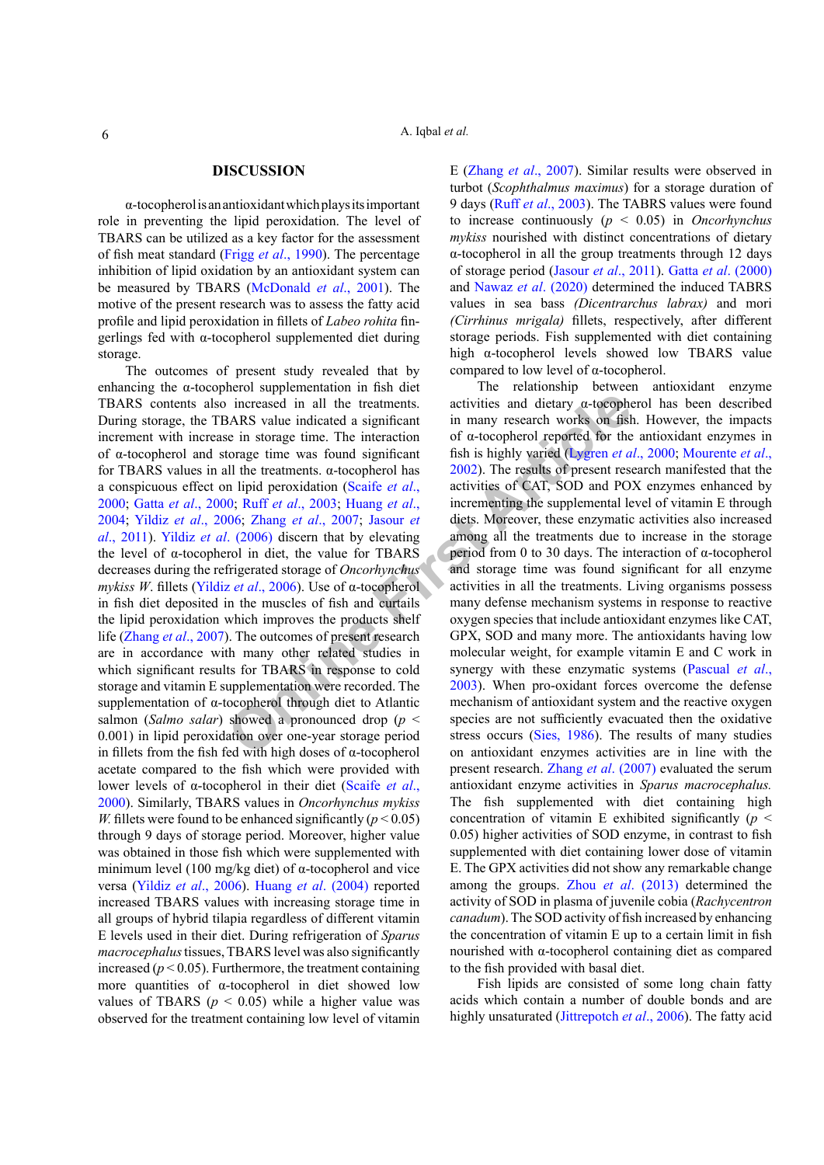#### **DISCUSSION**

α-tocopherol is an antioxidant which plays its important role in preventing the lipid peroxidation. The level of TBARS can be utilized as a key factor for the assessment of fish meat standard (Frigg *et al*[., 1990\)](#page-7-6). The percentage inhibition of lipid oxidation by an antioxidant system can be measured by TBARS ([McDonald](#page-7-7) *et al*., 2001). The motive of the present research was to assess the fatty acid profile and lipid peroxidation in fillets of *Labeo rohita* fingerlings fed with α-tocopherol supplemented diet during storage.

**EXECUTE:** The interaction of the must be in the traction of the space of the space of the space of the space of the space of the space of the space of the space of the space of the space of the space of the space of the The outcomes of present study revealed that by enhancing the  $\alpha$ -tocopherol supplementation in fish diet TBARS contents also increased in all the treatments. During storage, the TBARS value indicated a significant increment with increase in storage time. The interaction of α-tocopherol and storage time was found significant for TBARS values in all the treatments. α-tocopherol has a conspicuous effect on lipid peroxidation (Scaife *et al*., [2000](#page-8-10); Gatta *et al*[., 2000](#page-7-4); Ruff *et al*., 2003; Huang *et al*., [2004](#page-7-0); Yildiz *et al*[., 2006](#page-8-1); Zhang *et al*., 2007; Jasour *et al*[., 2011](#page-7-8)). Yildiz *et al*. (2006) discern that by elevating the level of α-tocopherol in diet, the value for TBARS decreases during the refrigerated storage of *Oncorhynchus mykiss W*. fillets (Yildiz *et al*., 2006). Use of α-tocopherol in fish diet deposited in the muscles of fish and curtails the lipid peroxidation which improves the products shelf life ([Zhang](#page-8-7) *et al*., 2007). The outcomes of present research are in accordance with many other related studies in which significant results for TBARS in response to cold storage and vitamin E supplementation were recorded. The supplementation of α-tocopherol through diet to Atlantic salmon (*Salmo salar*) showed a pronounced drop (*p* < 0.001) in lipid peroxidation over one-year storage period in fillets from the fish fed with high doses of α-tocopherol acetate compared to the fish which were provided with lower levels of α-tocopherol in their diet [\(Scaife](#page-8-10) *et al*., [2000\)](#page-8-10). Similarly, TBARS values in *Oncorhynchus mykiss W*. fillets were found to be enhanced significantly ( $p < 0.05$ ) through 9 days of storage period. Moreover, higher value was obtained in those fish which were supplemented with minimum level (100 mg/kg diet) of α-tocopherol and vice versa (Yildiz *et al*[., 2006\)](#page-8-1). Huang *et al*[. \(2004\)](#page-7-0) reported increased TBARS values with increasing storage time in all groups of hybrid tilapia regardless of different vitamin E levels used in their diet. During refrigeration of *Sparus macrocephalus* tissues, TBARS level was also significantly increased  $(p < 0.05)$ . Furthermore, the treatment containing more quantities of α-tocopherol in diet showed low values of TBARS ( $p < 0.05$ ) while a higher value was observed for the treatment containing low level of vitamin

E (Zhang *et al*[., 2007\)](#page-8-7). Similar results were observed in turbot (*Scophthalmus maximus*) for a storage duration of 9 days (Ruff *et al*[., 2003\)](#page-8-11). The TABRS values were found to increase continuously (*p* < 0.05) in *Oncorhynchus mykiss* nourished with distinct concentrations of dietary α-tocopherol in all the group treatments through 12 days of storage period ([Jasour](#page-7-8) *et al*., 2011). Gatta *et al*[. \(2000\)](#page-7-4) and Nawaz *et al*[. \(2020\)](#page-7-9) determined the induced TABRS values in sea bass *(Dicentrarchus labrax)* and mori *(Cirrhinus mrigala)* fillets, respectively, after different storage periods. Fish supplemented with diet containing high α-tocopherol levels showed low TBARS value compared to low level of α-tocopherol.

The relationship between antioxidant enzyme activities and dietary α-tocopherol has been described in many research works on fish. However, the impacts of α-tocopherol reported for the antioxidant enzymes in fish is highly varied (Lygren *et al*., 2000; [Mourente](#page-7-11) *et al*., 2002). The results of present research manifested that the activities of CAT, SOD and POX enzymes enhanced by incrementing the supplemental level of vitamin E through diets. Moreover, these enzymatic activities also increased among all the treatments due to increase in the storage period from 0 to 30 days. The interaction of α-tocopherol and storage time was found significant for all enzyme activities in all the treatments. Living organisms possess many defense mechanism systems in response to reactive oxygen species that include antioxidant enzymes like CAT, GPX, SOD and many more. The antioxidants having low molecular weight, for example vitamin E and C work in synergy with these enzymatic systems ([Pascual](#page-7-12) *et al*., 2003). When pro-oxidant forces overcome the defense mechanism of antioxidant system and the reactive oxygen species are not sufficiently evacuated then the oxidative stress occurs (Sies, 1986). The results of many studies on antioxidant enzymes activities are in line with the present research. Zhang *et al*[. \(2007\)](#page-8-7) evaluated the serum antioxidant enzyme activities in *Sparus macrocephalus.*  The fish supplemented with diet containing high concentration of vitamin E exhibited significantly ( $p \leq$ 0.05) higher activities of SOD enzyme, in contrast to fish supplemented with diet containing lower dose of vitamin E. The GPX activities did not show any remarkable change among the groups. Zhou *et al*[. \(2013\)](#page-8-13) determined the activity of SOD in plasma of juvenile cobia (*Rachycentron canadum*). The SOD activity of fish increased by enhancing the concentration of vitamin E up to a certain limit in fish nourished with α-tocopherol containing diet as compared to the fish provided with basal diet.

Fish lipids are consisted of some long chain fatty acids which contain a number of double bonds and are highly unsaturated ([Jittrepotch](#page-7-13) *et al*., 2006). The fatty acid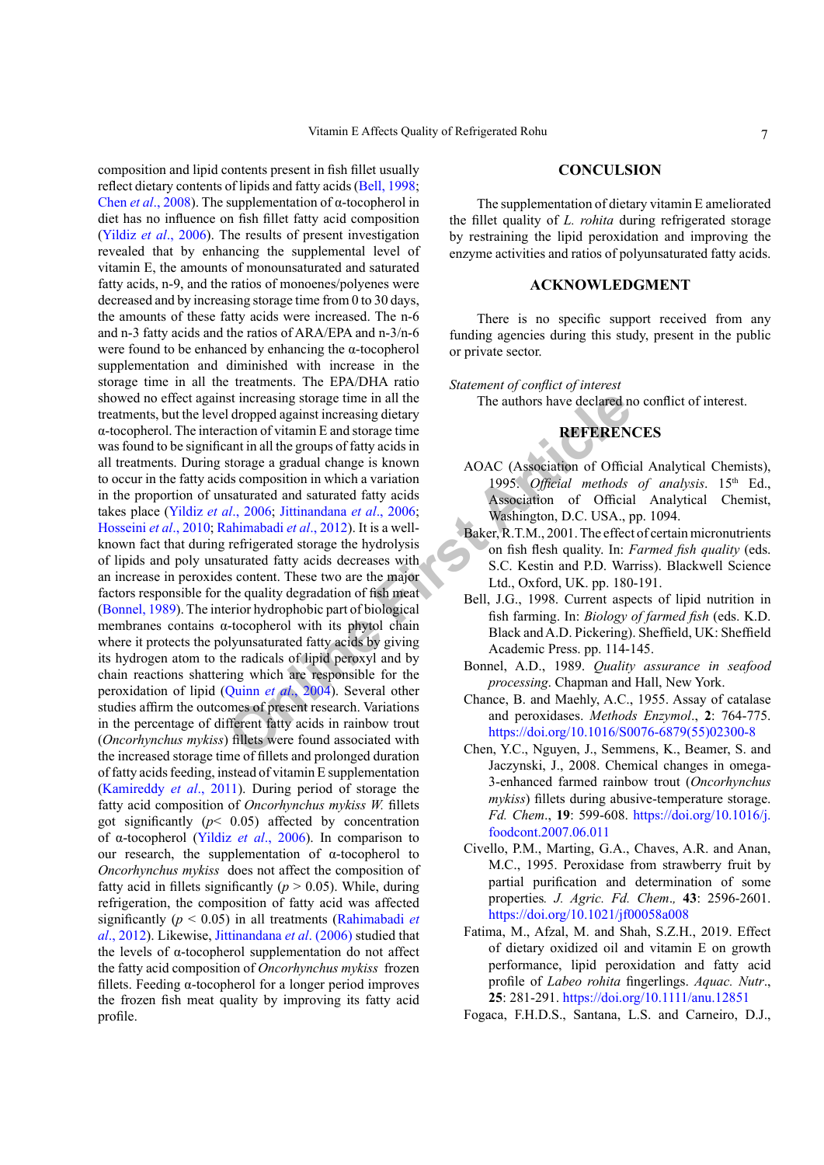The authors have declared at a distance and strong time in all the<br>
action of vitamin E and strong time and strong times and the groups of fatty acids in<br>
storage a gradual change is known<br>
storage a gradual change is know composition and lipid contents present in fish fillet usually reflect dietary contents of lipids and fatty acids [\(Bell, 1998](#page-6-6); Chen *et al*[., 2008](#page-6-7)). The supplementation of α-tocopherol in diet has no influence on fish fillet fatty acid composition (Yildiz *et al*[., 2006](#page-8-1)). The results of present investigation revealed that by enhancing the supplemental level of vitamin E, the amounts of monounsaturated and saturated fatty acids, n-9, and the ratios of monoenes/polyenes were decreased and by increasing storage time from 0 to 30 days, the amounts of these fatty acids were increased. The n-6 and n-3 fatty acids and the ratios of ARA/EPA and n-3/n-6 were found to be enhanced by enhancing the  $\alpha$ -tocopherol supplementation and diminished with increase in the storage time in all the treatments. The EPA/DHA ratio showed no effect against increasing storage time in all the treatments, but the level dropped against increasing dietary α-tocopherol. The interaction of vitamin E and storage time was found to be significant in all the groups of fatty acids in all treatments. During storage a gradual change is known to occur in the fatty acids composition in which a variation in the proportion of unsaturated and saturated fatty acids takes place (Yildiz *et al*., 2006; Jittinandana *et al*., 2006; [Hosseini](#page-7-15) *et al*., 2010; Rahimabadi *et al*., 2012). It is a wellknown fact that during refrigerated storage the hydrolysis of lipids and poly unsaturated fatty acids decreases with an increase in peroxides content. These two are the major factors responsible for the quality degradation of fish meat [\(Bonnel, 1989](#page-6-8)). The interior hydrophobic part of biological membranes contains α-tocopherol with its phytol chain where it protects the polyunsaturated fatty acids by giving its hydrogen atom to the radicals of lipid peroxyl and by chain reactions shattering which are responsible for the peroxidation of lipid (Quinn *et al*., 2004). Several other studies affirm the outcomes of present research. Variations in the percentage of different fatty acids in rainbow trout (*Oncorhynchus mykiss*) fillets were found associated with the increased storage time of fillets and prolonged duration of fatty acids feeding, instead of vitamin E supplementation [\(Kamireddy](#page-7-17) *et al*., 2011). During period of storage the fatty acid composition of *Oncorhynchus mykiss W.* fillets got significantly  $(p< 0.05)$  affected by concentration of α-tocopherol (Yildiz *et al*[., 2006\)](#page-8-1). In comparison to our research, the supplementation of α-tocopherol to *Oncorhynchus mykiss* does not affect the composition of fatty acid in fillets significantly ( $p > 0.05$ ). While, during refrigeration, the composition of fatty acid was affected significantly (*p* < 0.05) in all treatments ([Rahimabadi](#page-8-14) *et al*[., 2012\)](#page-8-14). Likewise, [Jittinandana](#page-7-14) *et al*. (2006) studied that the levels of α-tocopherol supplementation do not affect the fatty acid composition of *Oncorhynchus mykiss* frozen fillets. Feeding α-tocopherol for a longer period improves the frozen fish meat quality by improving its fatty acid profile.

#### **CONCULSION**

The supplementation of dietary vitamin E ameliorated the fillet quality of *L. rohita* during refrigerated storage by restraining the lipid peroxidation and improving the enzyme activities and ratios of polyunsaturated fatty acids.

# **ACKNOWLEDGMENT**

There is no specific support received from any funding agencies during this study, present in the public or private sector.

### *Statement of conflict of interest*

The authors have declared no conflict of interest.

# **REFERENCES**

- <span id="page-6-3"></span>AOAC (Association of Official Analytical Chemists), 1995. *Official methods of analysis*. 15<sup>th</sup> Ed., Association of Official Analytical Chemist, Washington, D.C. USA., pp. 1094.
- <span id="page-6-1"></span>Baker, R.T.M., 2001. The effect of certain micronutrients on fish flesh quality. In: *Farmed fish quality* (eds. S.C. Kestin and P.D. Warriss). Blackwell Science Ltd., Oxford, UK. pp. 180-191.
- <span id="page-6-6"></span>Bell, J.G., 1998. Current aspects of lipid nutrition in fish farming. In: *Biology of farmed fish* (eds. K.D. Black and A.D. Pickering). Sheffield, UK: Sheffield Academic Press. pp. 114-145.
- <span id="page-6-8"></span>Bonnel, A.D., 1989. *Quality assurance in seafood processing*. Chapman and Hall, New York.
- <span id="page-6-4"></span>Chance, B. and Maehly, A.C., 1955. Assay of catalase and peroxidases. *Methods Enzymol*., **2**: 764-775. [https://doi.org/10.1016/S0076-6879\(55\)02300-8](https://doi.org/10.1016/S0076-6879(55)02300-8)
- <span id="page-6-7"></span>Chen, Y.C., Nguyen, J., Semmens, K., Beamer, S. and Jaczynski, J., 2008. Chemical changes in omega-3-enhanced farmed rainbow trout (*Oncorhynchus mykiss*) fillets during abusive-temperature storage. *Fd. Chem*., **19**: 599-608. [https://doi.org/10.1016/j.](https://doi.org/10.1016/j.foodcont.2007.06.011) [foodcont.2007.06.011](https://doi.org/10.1016/j.foodcont.2007.06.011)
- <span id="page-6-5"></span>Civello, P.M., Marting, G.A., Chaves, A.R. and Anan, M.C., 1995. Peroxidase from strawberry fruit by partial purification and determination of some properties*. J. Agric. Fd. Chem*.*,* **43**: 2596-2601. <https://doi.org/10.1021/jf00058a008>
- <span id="page-6-0"></span>Fatima, M., Afzal, M. and Shah, S.Z.H., 2019. Effect of dietary oxidized oil and vitamin E on growth performance, lipid peroxidation and fatty acid profile of *Labeo rohita* fingerlings. *Aquac. Nutr*., **25**: 281-291. <https://doi.org/10.1111/anu.12851>
- <span id="page-6-2"></span>Fogaca, F.H.D.S., Santana, L.S. and Carneiro, D.J.,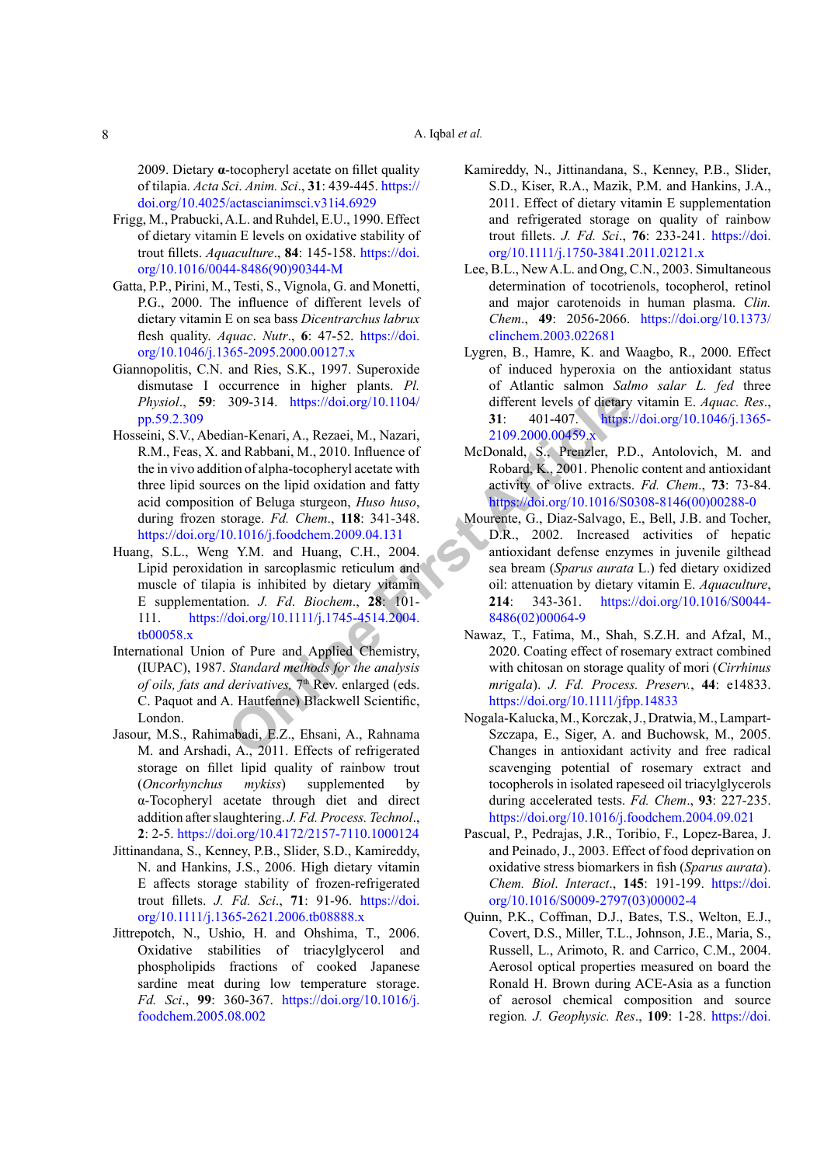# A. Iqbal *et al.*

2009. Dietary **α**-tocopheryl acetate on fillet quality of tilapia. *Acta Sci*. *Anim. Sci*., **31**: 439-445. [https://](https://doi.org/10.4025/actascianimsci.v31i4.6929) [doi.org/10.4025/actascianimsci.v31i4.6929](https://doi.org/10.4025/actascianimsci.v31i4.6929)

- <span id="page-7-6"></span>Frigg, M., Prabucki, A.L. and Ruhdel, E.U., 1990. Effect of dietary vitamin E levels on oxidative stability of trout fillets. *Aquaculture*., **84**: 145-158. [https://doi.](https://doi.org/10.1016/0044-8486(90)90344-M) [org/10.1016/0044-8486\(90\)90344-M](https://doi.org/10.1016/0044-8486(90)90344-M)
- <span id="page-7-4"></span>Gatta, P.P., Pirini, M., Testi, S., Vignola, G. and Monetti, P.G., 2000. The influence of different levels of dietary vitamin E on sea bass *Dicentrarchus labrux* flesh quality. *Aquac*. *Nutr*., **6**: 47-52. [https://doi.](https://doi.org/10.1046/j.1365-2095.2000.00127.x) [org/10.1046/j.1365-2095.2000.00127.x](https://doi.org/10.1046/j.1365-2095.2000.00127.x)
- <span id="page-7-5"></span>Giannopolitis, C.N. and Ries, S.K., 1997. Superoxide dismutase I occurrence in higher plants. *Pl. Physiol*., **59**: 309-314. https://doi.org/10.1104/ [pp.59.2.309](https://doi.org/10.1104/pp.59.2.309)
- <span id="page-7-15"></span>309-314. https://doi.org/10.1104/<br>
ilan-Kenari, A., Rezaei, M., Nazari,<br>
31: 401-407.<br>
ilan-Kenari, A., Rezaei, M., Nazari,<br>
and Rabbani, M., 2010. Influence of<br>
illence of<br>
incomencyl acetate with<br>
Robard, K., 2001. Pheno Hosseini, S.V., Abedian-Kenari, A., Rezaei, M., Nazari, R.M., Feas, X. and Rabbani, M., 2010. Influence of the in vivo addition of alpha-tocopheryl acetate with three lipid sources on the lipid oxidation and fatty acid composition of Beluga sturgeon, *Huso huso*, during frozen storage. *Fd. Chem*., **118**: 341-348. <https://doi.org/10.1016/j.foodchem.2009.04.131>
- <span id="page-7-0"></span>Huang, S.L., Weng Y.M. and Huang, C.H., 2004. Lipid peroxidation in sarcoplasmic reticulum and muscle of tilapia is inhibited by dietary vitamin E supplementation. *J. Fd*. *Biochem*., **28**: 101- 111. https://doi.org/10.1111/j.1745-4514.2004. [tb00058.x](https://doi.org/10.1111/j.1745-4514.2004.tb00058.x)
- <span id="page-7-3"></span>International Union of Pure and Applied Chemistry, (IUPAC), 1987. *Standard methods for the analysis*  of oils, fats and derivatives, 7<sup>th</sup> Rev. enlarged (eds. C. Paquot and A. Hautfenne) Blackwell Scientific, London.
- <span id="page-7-8"></span>Jasour, M.S., Rahimabadi, E.Z., Ehsani, A., Rahnama M. and Arshadi, A., 2011. Effects of refrigerated storage on fillet lipid quality of rainbow trout (*Oncorhynchus mykiss*) supplemented by α-Tocopheryl acetate through diet and direct addition after slaughtering. *J. Fd. Process. Technol*., **2**: 2-5.<https://doi.org/10.4172/2157-7110.1000124>
- <span id="page-7-14"></span>Jittinandana, S., Kenney, P.B., Slider, S.D., Kamireddy, N. and Hankins, J.S., 2006. High dietary vitamin E affects storage stability of frozen-refrigerated trout fillets. *J. Fd. Sci*., **71**: 91-96. [https://doi.](https://doi.org/10.1111/j.1365-2621.2006.tb08888.x) [org/10.1111/j.1365-2621.2006.tb08888.x](https://doi.org/10.1111/j.1365-2621.2006.tb08888.x)
- <span id="page-7-13"></span>Jittrepotch, N., Ushio, H. and Ohshima, T., 2006. Oxidative stabilities of triacylglycerol and phospholipids fractions of cooked Japanese sardine meat during low temperature storage. *Fd. Sci*., **99**: 360-367. [https://doi.org/10.1016/j.](https://doi.org/10.1016/j.foodchem.2005.08.002) [foodchem.2005.08.002](https://doi.org/10.1016/j.foodchem.2005.08.002)
- <span id="page-7-17"></span>Kamireddy, N., Jittinandana, S., Kenney, P.B., Slider, S.D., Kiser, R.A., Mazik, P.M. and Hankins, J.A., 2011. Effect of dietary vitamin E supplementation and refrigerated storage on quality of rainbow trout fillets. *J. Fd. Sci*., **76**: 233-241. [https://doi.](https://doi.org/10.1111/j.1750-3841.2011.02121.x) [org/10.1111/j.1750-3841.2011.02121.x](https://doi.org/10.1111/j.1750-3841.2011.02121.x)
- <span id="page-7-2"></span>Lee, B.L., New A.L. and Ong, C.N., 2003. Simultaneous determination of tocotrienols, tocopherol, retinol and major carotenoids in human plasma. *Clin. Chem*., **49**: 2056-2066. [https://doi.org/10.1373/](https://doi.org/10.1373/clinchem.2003.022681) [clinchem.2003.022681](https://doi.org/10.1373/clinchem.2003.022681)
- <span id="page-7-10"></span>Lygren, B., Hamre, K. and Waagbo, R., 2000. Effect of induced hyperoxia on the antioxidant status of Atlantic salmon *Salmo salar L. fed* three different levels of dietary vitamin E. *Aquac. Res*., **31**: 401-407. [https://doi.org/10.1046/j.1365-](https://doi.org/10.1046/j.1365-2109.2000.00459.x) 2109.2000.00459.x
- <span id="page-7-7"></span>McDonald, S., Prenzler, P.D., Antolovich, M. and Robard, K., 2001. Phenolic content and antioxidant activity of olive extracts. *Fd. Chem*., **73**: 73-84. [https://doi.org/10.1016/S0308-8146\(00\)00288-0](https://doi.org/10.1016/S0308-8146(00)00288-0)
- <span id="page-7-11"></span>Mourente, G., Diaz-Salvago, E., Bell, J.B. and Tocher, D.R., 2002. Increased activities of hepatic antioxidant defense enzymes in juvenile gilthead sea bream (*Sparus aurata* L.) fed dietary oxidized oil: attenuation by dietary vitamin E. *Aquaculture*, **214**: 343-361. [https://doi.org/10.1016/S0044-](https://doi.org/10.1016/S0044-8486(02)00064-9) 8486(02)00064-9
- <span id="page-7-9"></span>Nawaz, T., Fatima, M., Shah, S.Z.H. and Afzal, M., 2020. Coating effect of rosemary extract combined with chitosan on storage quality of mori (*Cirrhinus mrigala*). *J. Fd. Process. Preserv.*, **44**: e14833. https://doi.org/10.1111/jfpp.14833
- <span id="page-7-1"></span>Nogala-Kalucka, M., Korczak, J., Dratwia, M., Lampart-Szczapa, E., Siger, A. and Buchowsk, M., 2005. Changes in antioxidant activity and free radical scavenging potential of rosemary extract and tocopherols in isolated rapeseed oil triacylglycerols during accelerated tests. *Fd. Chem*., **93**: 227-235. <https://doi.org/10.1016/j.foodchem.2004.09.021>
- <span id="page-7-12"></span>Pascual, P., Pedrajas, J.R., Toribio, F., Lopez-Barea, J. and Peinado, J., 2003. Effect of food deprivation on oxidative stress biomarkers in fish (*Sparus aurata*). *Chem. Biol*. *Interact*., **145**: 191-199. [https://doi.](https://doi.org/10.1016/S0009-2797(03)00002-4) [org/10.1016/S0009-2797\(03\)00002-4](https://doi.org/10.1016/S0009-2797(03)00002-4)
- <span id="page-7-16"></span>Quinn, P.K., Coffman, D.J., Bates, T.S., Welton, E.J., Covert, D.S., Miller, T.L., Johnson, J.E., Maria, S., Russell, L., Arimoto, R. and Carrico, C.M., 2004. Aerosol optical properties measured on board the Ronald H. Brown during ACE-Asia as a function of aerosol chemical composition and source region*. J. Geophysic. Res*., **109**: 1-28. [https://doi.](https://doi.org/10.1029/2003JD004010)

8